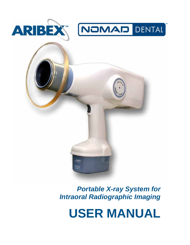



and the

**USER MANUAL**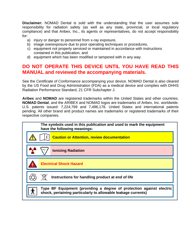**Disclaimer:** NOMAD Dental is sold with the understanding that the user assumes sole responsibility for radiation safety (as well as any state, provincial, or local regulatory compliance) and that Aribex, Inc., its agents or representatives, do not accept responsibility for:

- a) injury or danger to personnel from x-ray exposure,
- b) image overexposure due to poor operating techniques or procedures,
- c) equipment not properly serviced or maintained in accordance with instructions contained in this publication, and
- d) equipment which has been modified or tampered with in any way.

#### **DO NOT OPERATE THIS DEVICE UNTIL YOU HAVE READ THIS MANUAL and reviewed the accompanying materials.**

See the *Certificate of Conformance* accompanying your device. NOMAD Dental is also cleared by the US Food and Drug Administration (FDA) as a medical device and complies with DHHS Radiation Performance Standard, 21 CFR Subchapter J.

**Aribex** and **NOMAD** are registered trademarks within the United States and other countries. **NOMAD Dental**, and the ARIBEX and NOMAD logos are trademarks of Aribex, Inc. worldwide. U.S. patents issued: 7,224,769 and 7,496,178. United States and international patents pending. All other brand and product names are trademarks or registered trademarks of their respective companies.

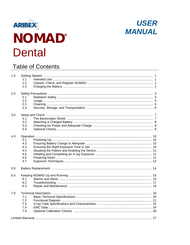



### **Table of Contents**

| 1.0 | 1.1                                           |  |
|-----|-----------------------------------------------|--|
|     | 1.2<br>1.3                                    |  |
| 2.0 | 2.1<br>2.2<br>2.3<br>2.4                      |  |
| 3.0 | 3.1<br>3.2<br>3.3<br>3.4                      |  |
| 4.0 | 4.1<br>4.2<br>4.3<br>4.4<br>4.5<br>4.6<br>4.7 |  |
| 5.0 |                                               |  |
| 6.0 | 6.1<br>6.2<br>6.3                             |  |
| 7.0 | 7.1<br>7.2<br>7.3<br>7.4<br>7.5               |  |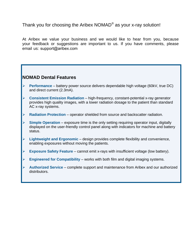Thank you for choosing the Aribex  $\mathsf{NOMAD}^\circledast$  as your x-ray solution!

At Aribex we value your business and we would like to hear from you, because your feedback or suggestions are important to us. If you have comments, please email us: support@aribex.com

#### **NOMAD Dental Features**

- ¾ **Performance** battery power source delivers dependable high voltage (60kV, true DC) and direct current (2.3mA).
- ¾ **Consistent Emission Radiation** high-frequency, constant-potential x-ray generator provides high quality images, with a lower radiation dosage to the patient than standard AC x-ray systems.
- ¾ **Radiation Protection** operator shielded from source and backscatter radiation.
- ¾ **Simple Operation** exposure time is the only setting requiring operator input, digitally displayed on the user-friendly control panel along with indicators for machine and battery status.
- ¾ **Lightweight and Ergonomic** design provides complete flexibility and convenience, enabling exposures without moving the patients.
- ¾ **Exposure Safety Feature** cannot emit x-rays with insufficient voltage (low battery).
- ¾ **Engineered for Compatibility** works with both film and digital imaging systems.
- ¾ **Authorized Service** complete support and maintenance from Aribex and our authorized distributors.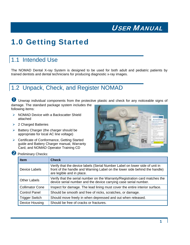## <span id="page-4-0"></span>1.0 Getting Started

### 1.1 Intended Use

The NOMAD Dental X-ray System is designed to be used for both adult and pediatric patients by trained dentists and dental technicians for producing diagnostic x-ray images.

## 1.2 Unpack, Check, and Register NOMAD

**U** Unwrap individual components from the protective plastic and check for any noticeable signs of damage. The standard package system includes the following items:

- ¾ NOMAD Device with a Backscatter Shield attached
- $\geq 2$  Charged Batteries
- $\triangleright$  Battery Charger (the charger should be appropriate for local AC line voltage)
- ▶ Certificate of Conformance, Getting Started guide and Battery Charger manual, Warranty Card, and NOMAD Operator Training CD



#### 2 Preliminary Checks:

| <b>Item</b>            | <b>Check</b>                                                                                                                                                                           |
|------------------------|----------------------------------------------------------------------------------------------------------------------------------------------------------------------------------------|
| Device Labels          | Verify that the device labels (Serial Number Label on lower side of unit in<br>front of the handle and Warning Label on the lower side behind the handle)<br>are legible and in place. |
| <b>Other Labels</b>    | Verify that the serial number on the Warranty/Registration card matches the<br>device serial number and the device carrying case serial number.                                        |
| <b>Collimator Cone</b> | Inspect for damage. The lead lining must cover the entire interior surface.                                                                                                            |
| <b>Control Panel</b>   | Should be smooth and free of nicks, scratches, or damage.                                                                                                                              |
| <b>Trigger Switch</b>  | Should move freely in when depressed and out when released.                                                                                                                            |
| Device Housing         | Should be free of cracks or fractures.                                                                                                                                                 |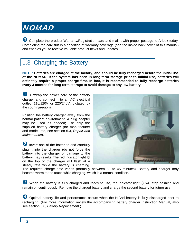<span id="page-5-0"></span>**B** Complete the product Warranty/Registration card and mail it with proper postage to Aribex today. Completing the card fulfills a condition of warranty coverage (see the inside back cover of this manual) and enables you to receive valuable product news and updates.

## 1.3 Charging the Battery

**NOTE: Batteries are charged at the factory, and should be fully recharged before the initial use of the NOMAD. If the system has been in long-term storage prior to iniitial use, batteries will definitely require a proper charge first. In fact, it is recommended to fully recharge batteries every 3 months for long-term storage to avoid damage to any low battery.** 

Unwrap the power cord of the battery charger and connect it to an AC electrical outlet (110/120V or 220/240V, dictated by the country/region).

Position the battery charger away from the normal patient environment. A plug adapter may be used as needed; use only the supplied battery charger (for manufacturer and model info, see section 6.3, *Repair and Maintenance*).

**2** Invert one of the batteries and carefully plug it into the charger (do not force the battery into the charger or damage to the battery may result). The red indicator light  $\ddot{\varphi}$ on the top of the charger will flash at a steady rate while the battery is charging.



The required charge time varies (normally between 30 to 45 minutes). Battery and charger may become warm to the touch while charging, which is a normal condition.

**B** When the battery is fully charged and ready to use, the indicator light  $\ddot{\varphi}$  will stop flashing and remain on continuously. Remove the charged battery and charge the second battery for future use.

4 Optimal battery life and performance occurs when the NiCad battery is fully discharged prior to recharging. (For more information review the accompanying battery charger Instruction Manual, also see section 5.0, *Battery Replacement*.)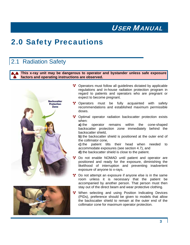## <span id="page-6-0"></span>2.0 Safety Precautions

### 2.1 Radiation Safety

**This x-ray unit may be dangerous to operator and bystander unless safe exposure factors and operating instructions are observed.** 





- \*\* Operators must follow all guidelines dictated by applicable regulations and in-house radiation protection program in regard to patients and operators who are pregnant or expect to become pregnant.
- \*\* Operators must be fully acquainted with safety recommendations and established maximum permissible doses.
- \*\* Optimal operator radiation backscatter protection exists when:

**a)** the operator remains within the cone-shaped backscatter protection zone immediately behind the backscatter shield,

**b)** the backscatter shield is positioned at the outer end of the collimator cone,

**c)** the patient tilts their head when needed to accommodate exposures (see section 4.7), and **d)** the backscatter shield is close to the patient.

- Do not enable NOMAD until patient and operator are positioned and ready for the exposure, diminishing the likelihood of interruption and preventing inadvertent exposure of anyone to x-rays.
- \*\* Do not attempt an exposure if anyone else is in the same room unless it is necessary that the patient be accompanied by another person. That person must then stay out of the direct beam and wear protective clothing.
- \*\* When selecting and using Position Indicating Devices (PIDs), preference should be given to models that allow the backscatter shield to remain at the outer end of the collimator cone for maximum operator protection.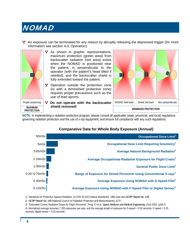**<sup>1</sup>** An exposure can be terminated for any reason by abruptly releasing the depressed trigger (for more information see section 4.0, *Operation*).



**NOTE:** In implementing a radiation protection program, please consult all applicable (state, provincial, and local) regulations governing radiation protection and the use of x-ray equipment, and ensure full compliance with any such regulations.



#### **Comparative Data for Whole Body Exposure (Annual)**

1) Standards for Protection Against Radiation, 10 CFR 20 (US Federal Standards), 1994 (see also *NCRP Report No. 116*)

2) *NCRP Report No. 145* (National Council on Radiation Protection and Measurements), p7-9

3) "Estimated Cosmic Radiation Doses for Flight Personnel", Feng YJ et al, *Space Medicine and Medical Engineering*, 15(4) 2002, p265-9

4) Normalized average assumes 7,200 exposures per year, and the average length of exposure for D-speed = 0.50 seconds, F-speed = 0.25 seconds, digital sensor = 0.20 seconds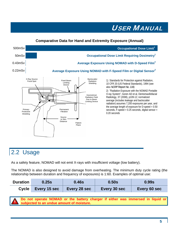#### **Comparative Data for Hand and Extremity Exposure (Annual)**

<span id="page-8-0"></span>

#### 2.2 Usage

As a safety feature, NOMAD will not emit X-rays with insufficient voltage (low battery).

The NOMAD is also designed to avoid damage from overheating. The minimum duty cycle rating (the relationship between duration and frequency of exposures) is 1:60. Examples of optimal use:

| <b>Duration</b> | 0.25s                       | 0.46s | 0.50s        | 0.99s        |
|-----------------|-----------------------------|-------|--------------|--------------|
| <b>Cycle</b>    | Every 15 sec   Every 28 sec |       | Every 30 sec | Every 60 sec |

**Do not operate NOMAD or the battery charger if either was immersed in liquid or subjected to an undue amount of moisture.**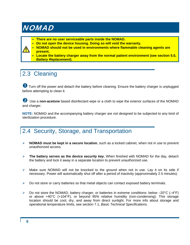- <span id="page-9-0"></span>• **There are no user serviceable parts inside the NOMAD.**
- **Do not open the device housing. Doing so will void the warranty.**



- **NOMAD should not be used in environments where flammable cleaning agents are present.**
- **Locate the battery charger away from the normal patient environment (see section 5.0,** *Battery Replacement***).**

## 2.3 Cleaning

**1** Turn off the power and detach the battery before cleaning. Ensure the battery charger is unplugged before attempting to clean it.

**2** Use a non-acetone based disinfectant wipe or a cloth to wipe the exterior surfaces of the NOMAD and charger.

**NOTE:** NOMAD and the accompanying battery charger are not designed to be subjected to any kind of sterilization procedure.

### 2.4 Security, Storage, and Transportation

- ¾ **NOMAD must be kept in a secure location**, such as a locked cabinet, when not in use to prevent unauthorized access.
- ¾ **The battery serves as the device** *security key***.** When finished with NOMAD for the day, detach the battery and lock it away in a separate location to prevent unauthorized use.
- $\triangleright$  Make sure NOMAD will not be knocked to the ground when not in use. Lay it on its side if necessary. Power will automatically shut off after a period of inactivity (approximately 2.5 minutes).
- $\triangleright$  Do not store or carry batteries so that metal objects can contact exposed battery terminals.
- $\triangleright$  Do not store the NOMAD, battery charger, or batteries in extreme conditions: below -20 $\degree$ C (-4 $\degree$ F) or above +40°C (+104°F), or beyond 95% relative humidity (non-condensing). This storage location should be cool, dry, and away from direct sunlight. For more info about storage and operational temperature limits, see section 7.1, *Basic Technical Specifications*.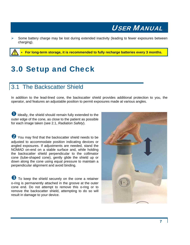<span id="page-10-0"></span>Some battery charge may be lost during extended inactivity (leading to fewer exposures between charging).

• **For long-term storage, it is recommended to fully recharge batteries every 3 months.**

## 3.0 Setup and Check

#### 3.1 The Backscatter Shield

In addition to the lead-lined cone, the backscatter shield provides additional protection to you, the operator, and features an adjustable position to permit exposures made at various angles.

 $\bullet$  Ideally, the shield should remain fully extended to the outer edge of the cone, as close to the patient as possible for each image taken (see 2.1, *Radiation Safety*).

<sup>2</sup> You may find that the backscatter shield needs to be adjusted to accommodate position indicating devices or angled exposures. If adjustments are needed, stand the NOMAD on-end on a stable surface and, while holding the backscatter shield perpendicular to the collimator cone (tube-shaped cone), gently glide the shield up or down along the cone using equal pressure to maintain a perpendicular alignment and avoid binding.

**B** To keep the shield securely on the cone a retainer o-ring is permanently attached in the groove at the outer cone end. Do not attempt to remove this o-ring or to remove the backscatter shield, attempting to do so will result in damage to your device.

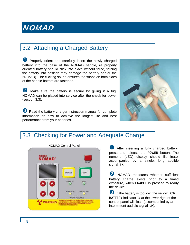### <span id="page-11-0"></span>3.2 Attaching a Charged Battery

**D** Properly orient and carefully insert the newly charged battery into the base of the NOMAD handle, (a properly oriented battery should click into place without force, forcing the battery into position may damage the battery and/or the NOMAD). The clicking sound ensures the snaps on both sides of the handle bottom are fastened.

**2** Make sure the battery is secure by giving it a tug. NOMAD can be placed into service after the check for power (section 3.3).

**B** Read the battery charger instruction manual for complete information on how to achieve the longest life and best performance from your batteries.



### 3.3 Checking for Power and Adequate Charge



press and release the **POWER** button. The numeric (LED) display should illuminate, accompanied by a single, long audible signal  $\Rightarrow$ .

**2** NOMAD measures whether sufficient battery charge exists prior to a timed exposure, when **ENABLE** is pressed to ready the device.

p If the battery is too low, the yellow **LOW BATTERY** indicator  $\Diamond$  at the lower right of the control panel will flash (accompanied by an intermittent audible signal  $\Rightarrow$ ).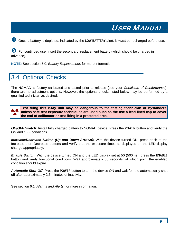<span id="page-12-0"></span>**4** Once a battery is depleted, indicated by the LOW BATTERY alert, it must be recharged before use.

**5** For continued use, insert the secondary, replacement battery (which should be charged in advance).

**NOTE:** See section 5.0, *Battery Replacement*, for more information.

### 3.4 Optional Checks

The NOMAD is factory calibrated and tested prior to release (see your *Certificate of Conformance*), there are no adjustment options. However, the optional checks listed below may be performed by a qualified technician as desired.

**Test firing this x-ray unit may be dangerous to the testing technician or bystanders unless safe test exposure techniques are used such as the use a lead lined cap to cover the end of collimator or test firing in a protected area.** 

*ON/OFF Switch:* Install fully charged battery to NOMAD device. Press the **POWER** button and verify the ON and OFF conditions.

*Increase/Decrease Switch (Up and Down Arrows):* With the device turned ON, press each of the Increase then Decrease buttons and verify that the exposure times as displayed on the LED display change appropriately.

*Enable Switch:* With the device turned ON and the LED display set at 50 (500ms), press the **ENABLE** button and verify functional conditions. Wait approximately 30 seconds, at which point the enabled condition should expire.

*Automatic Shut-Off:* Press the **POWER** button to turn the device ON and wait for it to automatically shut off after approximately 2.5 minutes of inactivity.

See section 6.1, *Alarms and Alerts*, for more information.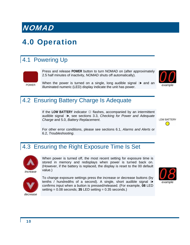## <span id="page-13-0"></span>4.0 Operation

## 4.1 Powering Up



Press and release **POWER** button to turn NOMAD on (after approximately 2.5 half minutes of inactivity, NOMAD shuts off automatically).

When the power is turned on a single, long audible signal  $\Rightarrow$  and an illuminated numeric (LED) display indicate the unit has power. *example* 



#### 4.2 Ensuring Battery Charge Is Adequate

If the **LOW BATTERY** indicator ☼ flashes, accompanied by an intermittent audible signalÑ:, see sections 3.3, *Checking for Power and Adequate Charge* and 5.0, *Battery Replacement*.

**LOW BATTERY**  $\bigcirc$ 

For other error conditions, please see sections 6.1, *Alarms and Alerts* or 6.2, *Troubleshooting*.

### 4.3 Ensuring the Right Exposure Time Is Set



When power is turned off, the most recent setting for exposure time is stored in memory and redisplays when power is turned back on. (However, if the battery is replaced, the display is reset to the 00 default value.)



To change exposure settings press the increase or decrease buttons (by tenths / hundredths of a second). A single, short audible signal  $\Rightarrow$ confirms input when a button is pressed/released. (For example, **08** LED setting = 0.08 seconds; **35** LED setting = 0.35 seconds.)

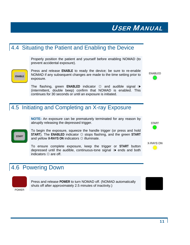#### <span id="page-14-0"></span>4.4 Situating the Patient and Enabling the Device

Properly position the patient and yourself before enabling NOMAD (to prevent accidental exposure).



The flashing, green **ENABLED** indicator  $\hat{\varphi}$  and audible signal  $\hat{a}$ (intermittent, double beep) confirm that NOMAD is enabled. This continues for 30 seconds or until an exposure is initiated.

### 4.5 Initiating and Completing an X-ray Exposure

**NOTE:** An exposure can be prematurely terminated for any reason by abruptly releasing the depressed trigger.



ENABLE

To begin the exposure, squeeze the handle trigger (or press and hold **START**). The **ENABLED** indicator ☼ stops flashing, and the green **START** and yellow **X-RAYS ON** indicators ☼ illuminate.

To ensure complete exposure, keep the trigger or **START** button depressed until the audible, continuous-tone signal  $\Rightarrow$  ends and both indicators  $\Im$  are off.

### 4.6 Powering Down



Press and release **POWER** to turn NOMAD off. (NOMAD automatically shuts off after approximately 2.5 minutes of inactivity.)





ENABLED



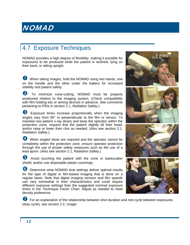### <span id="page-15-0"></span>4.7 Exposure Techniques

NOMAD provides a high degree of flexibility, making it possible for exposures to be produced while the patient is reclined, lying on their back, or sitting upright.

**1** When taking images, hold the NOMAD using two hands; one on the handle and the other under the battery for increased stability and patient safety.

2 To minimize cone-cutting, NOMAD must be properly positioned relative to the imaging system. (Check compatibility with film holding kits or aiming devices in advance. See comments pertaining to PIDs in section 2.1, *Radiation Safety*.)

**B** Exposure times increase proportionally when the imaging angles vary from 90° or perpendicular to the film or sensor. To maintain low patient x-ray doses and keep the operator within the protection zone, request that the patient slightly tilt their head, and/or raise or lower their chin as needed. (Also see section 2.1, *Radiation Safety*.)

4 When angled shots are required and the operator cannot be completely within the protection zone, ensure operator protection through the use of proper safety measures such as the use of a lead apron. (Also see section 2.1, *Radiation Safety*.)

Avoid touching the patient with the cone or backscatter shield; and/or use disposable plastic coverings.

**6** Determine what NOMAD time settings deliver optimal results for the type of digital or film-based imaging that is done on a regular basis. Note that digital imaging sensors and film speeds can vary somewhat in their characteristics and could require different exposure settings than the suggested nominal exposure times in the *Technique Factor Chart*. Adjust as needed to meet density preference.



**th** For an explanation of the relationship between shot duration and rest cycle between exposures (duty cycle), see section 2.2, *Usage*.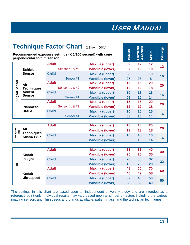| <b>Technique Factor Chart 2.3mA 60kV</b> |                                                                                           |              |                |                         |    | Premolars<br>& Canines<br>Canines |               |                  |
|------------------------------------------|-------------------------------------------------------------------------------------------|--------------|----------------|-------------------------|----|-----------------------------------|---------------|------------------|
|                                          | Recommended exposure settings (X 1/100 second) with cone<br>perpendicular to film/sensor. |              |                |                         |    |                                   | <b>Molars</b> | <b>Bitewings</b> |
|                                          |                                                                                           | <b>Adult</b> |                | <b>Maxilla (upper)</b>  | 09 | 12                                | 12            | 12               |
|                                          | <b>Schick</b>                                                                             |              | Sensor #1 & #2 | <b>Mandible (lower)</b> | 07 | 10                                | 10            |                  |
|                                          | <b>Sensor</b>                                                                             | <b>Child</b> |                | <b>Maxilla (upper)</b>  | 08 | 09                                | 10            |                  |
|                                          |                                                                                           |              | Sensor #1      | <b>Mandible (lower)</b> | 07 | 08                                | 8             | 10               |
|                                          | Air                                                                                       | <b>Adult</b> |                | <b>Maxilla (upper)</b>  | 15 | 15                                | 20            | 20               |
|                                          | <b>Techniques</b>                                                                         |              | Sensor #1 & #2 | <b>Mandible (lower)</b> | 12 | 12                                | 18            |                  |
|                                          | <b>Accent</b>                                                                             | <b>Child</b> |                | <b>Maxilla (upper)</b>  | 10 | 15                                | 16            |                  |
| Digital Sensor                           | <b>Sensor</b>                                                                             |              | Sensor #1      | <b>Mandible (lower)</b> | 08 | 10                                | 14            | 16               |
|                                          |                                                                                           | <b>Adult</b> |                | <b>Maxilla (upper)</b>  | 15 | 15                                | 20            | 20               |
|                                          | <b>Planmeca</b><br>DIXI <sub>3</sub>                                                      |              | Sensor #1 & #2 | <b>Mandible (lower)</b> | 12 | 12                                | 18            |                  |
|                                          |                                                                                           | <b>Child</b> |                | <b>Maxilla (upper)</b>  | 10 | 15                                | 16            | 16               |
|                                          |                                                                                           |              | Sensor #1      | <b>Mandible (lower)</b> | 08 | 10                                | 14            |                  |
|                                          |                                                                                           |              |                |                         |    |                                   |               |                  |
|                                          |                                                                                           | <b>Adult</b> |                | <b>Maxilla (upper)</b>  | 18 | 18                                | 20            | 20               |
| Plate                                    | Air<br><b>Techniques</b><br><b>ScanX PSP</b>                                              |              |                | <b>Mandible (lower)</b> | 13 | 13                                | 18            |                  |
| Phosphor                                 |                                                                                           | <b>Child</b> |                | <b>Maxilla (upper)</b>  | 10 | 15                                | 16            |                  |
|                                          |                                                                                           |              |                | <b>Mandible (lower)</b> | 8  | 10                                | 14            | 16               |
|                                          |                                                                                           |              |                |                         |    |                                   |               |                  |
|                                          |                                                                                           | <b>Adult</b> |                | <b>Maxilla (upper)</b>  | 35 | 35                                | 40            | 40               |
|                                          | <b>Kodak</b>                                                                              |              |                | <b>Mandible (lower)</b> | 25 | 25                                | 35            |                  |
|                                          | Insight                                                                                   | <b>Child</b> |                | <b>Maxilla (upper)</b>  | 20 | 30                                | 32            | 32               |
| $\frac{E}{iL}$                           |                                                                                           |              |                | <b>Mandible (lower)</b> | 15 | 20                                | 28            |                  |
|                                          |                                                                                           | <b>Adult</b> |                | <b>Maxilla (upper)</b>  | 48 | 60                                | 70            | 60               |
|                                          | <b>Kodak</b>                                                                              |              |                | <b>Mandible (lower)</b> | 40 | 49                                | 58            |                  |
|                                          | <b>Ultraspeed</b>                                                                         | <b>Child</b> |                | <b>Maxilla (upper)</b>  | 32 | 40                                | 50            |                  |
|                                          |                                                                                           |              |                | <b>Mandible (lower)</b> | 28 | 32                                | 40            | 50               |

The settings in this chart are based upon an independent university study and are intended as a reference point only. Individual results may vary based upon a number of factors including the various imaging sensors and film speeds and brands available, patient mass, and the technician techniques.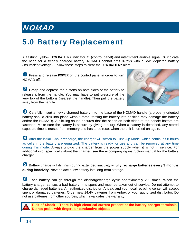## <span id="page-17-0"></span>5.0 Battery Replacement

A flashing, yellow LOW BATTERY indicator ☆ (control panel) and intermittent audible signal  $\rightarrow \bullet$  indicate the need for a freshly charged battery. NOMAD cannot emit X-rays with a low, depleted battery (insufficient voltage). Follow these steps to clear the **LOW BATTERY** alert.

**U** Press and release POWER on the control panel in order to turn NOMAD off.

<sup>2</sup> Grasp and depress the buttons on both sides of the battery to release it from the handle. You may have to put pressure at the very top of the buttons (nearest the handle). Then pull the battery away from the handle.



**B** Carefully insert a newly charged battery into the base of the NOMAD handle (a properly oriented battery should click into place without force, forcing the battery into position may damage the battery and/or the NOMAD). A clicking sound ensures that the snaps on both sides of the handle bottom are fastened. Make sure the battery is secure by giving it a tug. When a battery is detached, any stored exposure time is erased from memory and has to be reset when the unit is turned on again.

4 After the initial 1-hour recharge, the charger will switch to Tune-Up Mode, which continues 8 hours as cells in the battery are equalized. The battery is ready for use and can be removed at any time during this mode. Always unplug the charger from the power supply when it is not in service. For additional info, specifically about the charger, see the accompanying instruction manual for the battery charger.

**B** Battery charge will diminish during extended inactivity – fully recharge batteries every 3 months **during inactivity.** Never place a low battery into long-term storage.

6 Each battery can go through the discharge/charge cycle approximately 200 times. When the battery charger senses a bad battery, it is spent and must be taken out of service. Do not attempt to charge damaged batteries. An authorized distributor, Aribex, and your local recycling center will accept spent or damaged batteries. Order new 14.4V batteries from Aribex or your authorized distributor. Do not use batteries from other sources, which invalidates the warranty.

**Risk of Shock – There is high electrical current present at the battery charger terminals. Do not probe with fingers or conductive objects.**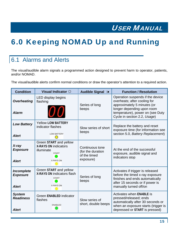## <span id="page-18-0"></span>6.0 Keeping NOMAD Up and Running

## 6.1 Alarms and Alerts

The visual/audible alarm signals a programmed action designed to prevent harm to operator, patients, and/or NOMAD.

The visual/audible alerts confirm normal conditions or draw the operator's attention to a required action.

| <b>Condition</b>                                  | Visual Indicator $\Im$                                                                                  | <b>Audible Signal &gt;&gt;</b>                                    | <b>Function / Resolution</b>                                                                                                                                                                      |
|---------------------------------------------------|---------------------------------------------------------------------------------------------------------|-------------------------------------------------------------------|---------------------------------------------------------------------------------------------------------------------------------------------------------------------------------------------------|
| <b>Overheating</b><br><b>Alarm</b>                | LED display begins<br>flashing<br>U O                                                                   | Series of long<br>beeps                                           | Operation suspends if the device<br>overheats; after cooling for<br>approximately 5 minutes (or<br>longer depending upon room<br>temperature), power on (see Duty<br>Cycle in section 2.2, Usage) |
| <b>Low Battery</b><br><b>Alert</b>                | <b>Yellow LOW BATTERY</b><br>indicator flashes<br><b>LOW BATTERY</b>                                    | Slow series of short<br>beeps                                     | Replace the battery and reset<br>exposure time (for information see<br>section 5.0, Battery Replacement)                                                                                          |
| $X$ -ray<br><b>Exposure</b><br><b>Alert</b>       | Green START and yellow<br><b>X-RAYS ON indicators</b><br>illuminate<br><b>START</b><br><b>X-RAYS ON</b> | Continuous tone<br>(for the duration<br>of the timed<br>exposure) | At the end of the successful<br>exposure, audible signal and<br>indicators stop                                                                                                                   |
| Incomplete<br><b>Exposure</b><br><b>Alert</b>     | Green START and yellow<br>X-RAYS ON indicators flash<br><b>START</b><br>X-RAYS ON                       | Series of long<br>beeps                                           | Activates if trigger is released<br>before the timed x-ray exposure<br>finishes and ends automatically<br>after 15 seconds or if power is<br>manually turned off/on                               |
| <b>System</b><br><b>Readiness</b><br><b>Alert</b> | <b>Green ENABLED indicator</b><br>flashes<br><b>ENABLED</b>                                             | Slow series of<br>short, double beeps                             | Activates when ENABLE is<br>pressed/released; ends<br>automatically after 30 seconds or<br>when an exposure starts (trigger is<br>depressed or START is pressed)                                  |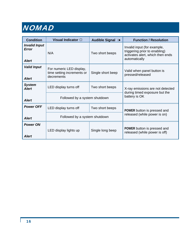| <b>Condition</b>                              | Visual Indicator $\Im$                                               | <b>Audible Signal ∌</b> | <b>Function / Resolution</b>                                                                                      |  |
|-----------------------------------------------|----------------------------------------------------------------------|-------------------------|-------------------------------------------------------------------------------------------------------------------|--|
| <b>Invalid Input</b><br>Error<br><b>Alert</b> | N/A                                                                  | Two short beeps         | Invalid input (for example,<br>triggering prior to enabling)<br>activates alert, which then ends<br>automatically |  |
| <b>Valid Input</b><br><b>Alert</b>            | For numeric LED display,<br>time setting increments or<br>decrements | Single short beep       | Valid when panel button is<br>pressed/released                                                                    |  |
| <b>System</b><br><b>Alert</b>                 | LED display turns off                                                | Two short beeps         | X-ray emissions are not detected<br>during timed exposure but the<br>battery is OK                                |  |
| <b>Alert</b>                                  | Followed by a system shutdown                                        |                         |                                                                                                                   |  |
| <b>Power OFF</b>                              | LED display turns off                                                | Two short beeps         | POWER button is pressed and                                                                                       |  |
| <b>Alert</b>                                  | Followed by a system shutdown                                        |                         | released (while power is on)                                                                                      |  |
| <b>Power ON</b><br><b>Alert</b>               | LED display lights up                                                | Single long beep        | POWER button is pressed and<br>released (while power is off)                                                      |  |

Г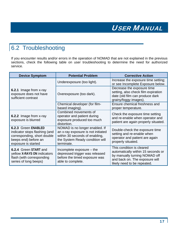### <span id="page-20-0"></span>6.2 Troubleshooting

If you encounter results and/or errors in the operation of NOMAD that are not explained in the previous sections, check the following table on user troubleshooting to determine the need for authorized service.

| <b>Device Symptom</b>                                                                                                              | <b>Potential Problem</b>                                                                                                                                | <b>Corrective Action</b>                                                                                                                                          |
|------------------------------------------------------------------------------------------------------------------------------------|---------------------------------------------------------------------------------------------------------------------------------------------------------|-------------------------------------------------------------------------------------------------------------------------------------------------------------------|
|                                                                                                                                    | Underexposure (too light).                                                                                                                              | Increase the exposure time setting;<br>or see Incomplete Exposure below.                                                                                          |
| <b>6.2.1</b> Image from x-ray<br>exposure does not have<br>sufficient contrast                                                     | Overexposure (too dark).                                                                                                                                | Decrease the exposure time<br>setting, also check film expiration<br>date (old film can produce dark<br>grainy/foggy images).                                     |
|                                                                                                                                    | Chemical developer (for film-<br>based imaging).                                                                                                        | Ensure chemical freshness and<br>proper temperature.                                                                                                              |
| 6.2.2 Image from x-ray<br>exposure is blurred                                                                                      | Combined movements of<br>operator and patient during<br>exposure produced too much<br>distortion.                                                       | Check the exposure time setting<br>and re-enable when operator and<br>patient are again properly situated.                                                        |
| 6.2.3 Green ENABLED<br>indicator stops flashing (and<br>corresponding, short double<br>beeps end) before an<br>exposure is started | NOMAD is no longer enabled. If<br>an x-ray exposure is not initiated<br>within 30 seconds of enabling,<br>the System Ready condition will<br>terminate. | Double-check the exposure time<br>setting and re-enable when<br>operator and patient are again<br>properly situated.                                              |
| 6.2.4 Green START and<br>yellow X-RAYS ON indicators<br>flash (with corresponding<br>series of long beeps)                         | Incomplete exposure $-$ the<br>depressed trigger was released<br>before the timed exposure was<br>able to complete.                                     | This condition is cleared<br>automatically within 15 seconds or<br>by manually turning NOMAD off<br>and back on. The exposure will<br>likely need to be repeated. |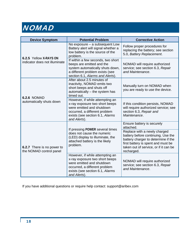| <b>Device Symptom</b>                                 | <b>Potential Problem</b>                                                                                                                                                           | <b>Corrective Action</b>                                                                                                                                                                               |
|-------------------------------------------------------|------------------------------------------------------------------------------------------------------------------------------------------------------------------------------------|--------------------------------------------------------------------------------------------------------------------------------------------------------------------------------------------------------|
| 6.2.5 Yellow X-RAYS ON                                | No exposure - a subsequent Low<br>Battery alert will signal whether a<br>low battery is the source of the<br>problem.                                                              | Follow proper procedures for<br>replacing the battery; see section<br>5.0, Battery Replacement.                                                                                                        |
| indicator does not illuminate                         | If within a few seconds, two short<br>beeps are emitted and the<br>system automatically shuts down,<br>a different problem exists (see<br>section 6.1, Alarms and Alerts).         | NOMAD will require authorized<br>service; see section 6.3, Repair<br>and Maintenance.                                                                                                                  |
| <b>6.2.6 NOMAD</b>                                    | After about 2.5 minutes of<br>inactivity, NOMAD emits two<br>short beeps and shuts off<br>automatically - the system has<br>timed out.                                             | Manually turn on NOMAD when<br>you are ready to use the device.                                                                                                                                        |
| automatically shuts down                              | However, if while attempting an<br>x-ray exposure two short beeps<br>were emitted and shutdown<br>occurred, a different problem<br>exists (see section 6.1, Alarms<br>and Alerts). | If this condition persists, NOMAD<br>will require authorized service; see<br>section 6.3, Repair and<br>Maintenance.                                                                                   |
|                                                       | If pressing POWER several times                                                                                                                                                    | Ensure battery is securely<br>attached.                                                                                                                                                                |
| 6.2.7 There is no power to<br>the NOMAD control panel | does not cause the numeric<br>(LED) display to illuminate, the<br>attached battery is the likely<br>problem.                                                                       | Replace with a newly charged<br>battery before continuing. Use the<br>battery charger to determine if the<br>first battery is spent and must be<br>taken out of service, or if it can be<br>recharged. |
|                                                       | However, if while attempting an<br>x-ray exposure two short beeps<br>were emitted and shutdown<br>occurred, a different problem<br>exists (see section 6.1, Alarms<br>and Alerts). | NOMAD will require authorized<br>service; see section 6.3, Repair<br>and Maintenance.                                                                                                                  |

If you have additional questions or require help contact: support@aribex.com

Н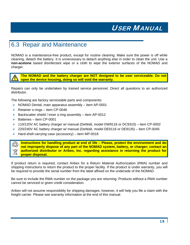### <span id="page-22-0"></span>6.3 Repair and Maintenance

NOMAD is a maintenance-free product, except for routine cleaning. Make sure the power is off while cleaning, detach the battery. It is unnecessary to detach anything else in order to clean the unit. Use a **non-acetone** based disinfectant wipe or a cloth to wipe the exterior surfaces of the NOMAD and charger.

**The NOMAD and the battery charger are NOT designed to be user serviceable. Do not open the device housing, doing so will void the warranty.** 

Repairs can only be undertaken by trained service personnel. Direct all questions to an authorized distributor.

The following are factory serviceable parts and components:

- $\triangleright$  NOMAD Dental, main apparatus assembly item AP-0001
- $\triangleright$  Retainer o-rings item CP-0046
- $\triangleright$  Backscatter shield / inner o-ring assembly item AP-0012
- $\triangleright$  Batteries item CP-0001
- $\triangleright$  110/120V AC battery charger w/ manual (DeWalt, model DW9116 or DC9310) item CP-0002
- ¾ 220/240V AC battery charger w/ manual (DeWalt, model DE9116 or DE9135) item CP-0045
- $\triangleright$  Hard-shell carrying case (accessory) item MP-0018

**Instructions for handling product at end of life – Please, protect the environment and do not improperly dispose of any part of the NOMAD system, battery, or charger; contact an authorized distributor or Aribex, Inc. regarding assistance in returning the product for proper disposal.** 

If product return is required, contact Aribex for a Return Material Authorization (RMA) number and shipping instructions to return the product to the proper facility. If the product is under warranty, you will be required to provide the serial number from the label affixed on the underside of the NOMAD.

Be sure to include the RMA number on the package you are returning. Products without a RMA number cannot be serviced or given credit consideration.

Aribex will not assume responsibility for shipping damages; however, it will help you file a claim with the freight carrier. Please see warranty information at the end of this manual.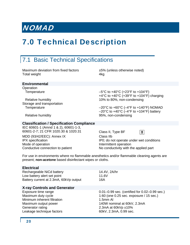## <span id="page-23-0"></span>7.0 Technical Description

## 7.1 Basic Technical Specifications

Maximum deviation from fixed factors ±5% (unless otherwise noted) Total weight **4kg** 

#### **Environmental**

**Operation** 

Storage and transportation

Temperature  $-5^{\circ}$ C to  $+40^{\circ}$ C ( $+23^{\circ}$ F to  $+104^{\circ}$ F) +4°C to +40°C (+39°F to +104°F) charging Relative humidity 10% to 80%, non-condensing

Temperature –20°C to +60°C (-4°F to +140°F) NOMAD  $-20^{\circ}$ C to  $+40^{\circ}$ C ( $-4^{\circ}$ F to  $+104^{\circ}$ F) battery Relative humidity **Relative humidity Relative humidity 95%**, non-condensing

#### **Classification / Specification Compliance**

IEC 60601-1 (Amnd 1 & 2), 60601-1-3, 60601-2-7; 21 CFR 1020.30 & 1020.31 Class II, Type BF

MDD (93/42/EEC): Annex IX Class IIb Mode of operation **Intermittent** operation Conductive connection to patient No conductivity with the applied part

团 IPX specification **IPX** specification **IPX** specification

For use in environments where no flammable anesthetics and/or flammable cleaning agents are present; **non-acetone** based disinfectant wipes or cloths.

| <b>Electrical</b>                      |                                               |
|----------------------------------------|-----------------------------------------------|
| Rechargeable NiCd battery              | 14.4V, 2A/hr                                  |
| Low battery alert set point            | 11.6V                                         |
| Battery current at 2.3mA, 60kVp output | 16A                                           |
| <b>X-ray Controls and Generator</b>    |                                               |
| Exposure time range                    | 0.01–0.99 sec. (certified for 0.02–0.99 sec.) |
| Maximum duty cycle                     | 1:60 (one $0.25$ sec. exposure $/$ 15 sec.)   |
| Minimum inherent filtration            | $1.5mm$ Al                                    |
| Maximum output power                   | 140W nominal at 60kV, 2.3mA                   |
| Generator rating                       | 2.3mA at 60kVp $±10\%$                        |
| Leakage technique factors              | 60kV, 2.3mA, 0.99 sec.                        |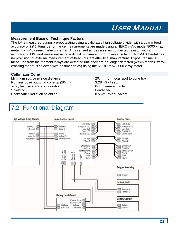#### <span id="page-24-0"></span>**Measurement Base of Technique Factors**

The kV is measured during pre-pot testing using a calibrated high voltage divider with a guaranteed accuracy of ±2%. Final performance measurements are made using a NERO mAx, model 8000 x-ray meter from Victoreen. Tube current (mA) is sensed across a series connected resistor with an accuracy of ±1% and measured using a digital multimeter, prior to encapsulation; NOMAD Dental has no provision for external measurement of beam current after final manufacture. Exposure time is measured from the moment x-rays are detected until they are no longer detected (which means "zerocrossing mode" is selected with no timer delay) using the NERO mAx 8000 x-ray meter.

#### **Collimator Cone**

Minimum *source to skin* distance 20cm (from focal spot to cone tip) Nominal dose output at cone tip (20cm) 3.28mGy / sec. X-ray field size and configuration 6cm diameter circle Shielding Lead-lined Backscatter radiation shielding example to the 0.5mm Pb-equivalent

## 7.2 Functional Diagram

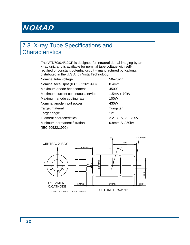### <span id="page-25-0"></span>7.3 X-ray Tube Specifications and **Characteristics**

The VTD70/0.4/12CP is designed for intraoral dental imaging by an x-ray unit, and is available for nominal tube voltage with selfrectified or constant potential circuit – manufactured by Kailong; distributed in the U.S.A. by Vista Technology.

| Nominal tube voltage                | $50 -$           |
|-------------------------------------|------------------|
| Nominal focal spot (IEC 60336:1993) | 0.4 <sub>n</sub> |
| Maximum anode heat content          | 450              |
| Maximum current continuous service  | 1.5n             |
| Maximum anode cooling rate          | 100              |
| Nominal anode input power           | 430              |
| Target material                     | Tun              |
| Target angle                        | $12^{\circ}$     |
| <b>Filament characteristics</b>     | $2.2 -$          |
| Minimum permanent filtration        | 0.8r             |
| (IEC 60522:1999)                    |                  |

50–70kV  $0.4<sub>mm</sub>$ 4500J  $1.5mA x 70kV$ 100W 430W Tungsten  $2.2 - 3.0A$ ,  $2.0 - 3.5V$ 0.8mm Al / 50kV

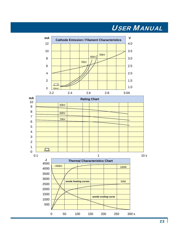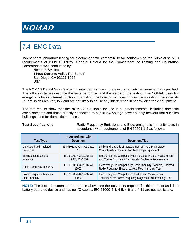## <span id="page-27-0"></span>7.4 EMC Data

Independent laboratory testing for electromagnetic compatibility for conformity to the Sub-clause 5.10 requirements of ISO/IEC 17025 "General Criteria for the Competence of Testing and Calibration Laboratories" was conducted by:

Nemko USA, Inc. 11696 Sorrento Valley Rd, Suite F San Diego, CA 92121-1024 USA

The NOMAD Dental X-ray System is intended for use in the electromagnetic environment as specified. The following tables describe the tests performed and the status of the testing. The NOMAD uses RF energy only for its internal function. In addition, the housing includes conductive shielding; therefore, its RF emissions are very low and are not likely to cause any interference in nearby electronic equipment.

The test results show that the NOMAD is suitable for use in all establishments, including domestic establishments and those directly connected to public low-voltage power supply network that supplies buildings used for domestic purposes.

**Test Specifications Radio Frequency Emissions and Electromagnetic Immunity tests in** accordance with requirements of EN 60601-1-2 as follows:

| <b>Test Type</b>         | In Accordance with<br><b>Document</b> | Document Title                                                                                                           |
|--------------------------|---------------------------------------|--------------------------------------------------------------------------------------------------------------------------|
| Conducted and Radiated   | EN 55011 (1998), A1 Class             | Limits and Methods of Measurement of Radio Disturbance                                                                   |
| <b>Emissions</b>         | "R"                                   | Characteristics of Information Technology Equipment                                                                      |
| Electrostatic Discharge  | IEC 61000-4-2 (1995), A1              | Electromagnetic Compatibility for Industrial Process Measurement                                                         |
| Immunity                 | (1998), A2 (2000)                     | and Control Equipment Electrostatic Discharge Requirements                                                               |
| Radio Frequency Immunity | IEC 61000-4-3 (2000), A1<br>(2002)    | Electromagnetic Compatibility, Basic Immunity Standard, Radiated<br>Radio Frequency Electromagnetic Field, Immunity Test |
| Power Frequency Magnetic | IEC 61000-4-8 (1993), A1              | Electromagnetic Compatibility, Testing and Measurement                                                                   |
| Field Immunity           | (2000)                                | Techniques for Power Frequency Magnetic Field, Immunity Test                                                             |

**NOTE:** The tests documented in the table above are the only tests required for this product as it is a battery operated device and has no I/O cables. IEC 61000-4-4, 4-5, 4-6 and 4-11 are not applicable.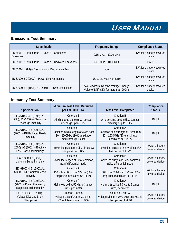#### **Emissions Test Summary**

| <b>Specification</b>                                       | <b>Frequency Range</b>                                                               | <b>Compliance Status</b>            |
|------------------------------------------------------------|--------------------------------------------------------------------------------------|-------------------------------------|
| EN 55011 (1991), Group 1, Class "B" Conducted<br>Emissions | $0.15$ MHz $-$ 30.00 MHz                                                             | N/A for a battery powered<br>device |
| EN 55011 (1991), Group 1, Class "B" Radiated Emissions     | 30.0 MHz - 1000 MHz                                                                  | <b>PASS</b>                         |
| EN 55014 (1993) - Discontinuous Disturbance Test           | N/A                                                                                  | N/A for a battery powered<br>device |
| EN 61000-3-2 (2000) - Power Line Harmonics                 | Up to the 40th Harmonic                                                              | N/A for a battery powered<br>device |
| EN 61000-3-3 (1995), A1 (2001) - Power Line Flicker        | ≤4% Maximum Relative Voltage Change;<br>Value of $D(T) \leq 3\%$ for more than 200ms | N/A for a battery powered<br>device |

#### **Immunity Test Summary**

| <b>Specification</b>                                                                         | Minimum Test Level Required<br>per EN 60601-1-2<br><b>Test Level Completed</b>                                                                                         |                                                                                                           | Compliance<br><b>Status</b>         |
|----------------------------------------------------------------------------------------------|------------------------------------------------------------------------------------------------------------------------------------------------------------------------|-----------------------------------------------------------------------------------------------------------|-------------------------------------|
| IEC 61000-4-2 (1995), A1<br>(1998), A2 (2000) - Electrostatic<br>Discharge Immunity          | Criterion B<br>Air discharge up to $\pm 8kV$ ; contact<br>discharge up to $\pm$ 6kV                                                                                    | Criterion B<br>Air discharge up to $\pm$ 8kV; contact<br>discharge up to $\pm$ 6kV                        | <b>PASS</b>                         |
| IEC 61000-4-3 (2000), A1<br>(2002) - RF Radiated Fields<br>Immunity                          | Criterion A<br>Radiation field strength of 3V/m from<br>80 - 2500MHz (80% amplitude<br>modulated @ 1 kHz)                                                              | Criterion A<br>Radiation field strength of 3V/m from<br>80 - 2500MHz (80% amplitude<br>modulated @ 1 kHz) |                                     |
| IEC 61000-4-4 (1995), A1<br>(2000), A2 (2001) - Electrical<br><b>Fast Transient Immunity</b> | Criterion B<br>Power line pulses of ±2kV direct; I/O<br>line pulses of $\pm 1kV$                                                                                       | Criterion B<br>Power line pulses of ±2kV direct; I/O<br>line pulses of $\pm 1$ kV                         | N/A for a battery<br>powered device |
| IEC 61000-4-5 (2001) -<br><b>Lightning Surge Immunity</b>                                    | Criterion B<br>Criterion B<br>Power line surges of ±2kV common,<br>Power line surges of $\pm 2kV$ common,<br>±1kV differential mode<br>$±1kV$ differential mode        |                                                                                                           | N/A for a battery<br>powered device |
| IEC 61000-4-6 (1996), A1<br>(2000) - RF Common Mode<br>Immunity                              | Criterion A<br>150 kHz - 80 MHz at 3 Vrms (80%<br>amplitude modulated @ 1 kHz)                                                                                         | Criterion A<br>150 kHz - 80 MHz at 3 Vrms (80%<br>amplitude modulated @ 1 kHz)                            |                                     |
| IEC 61000-4-8 (1993), A1<br>(2000) - Power Frequency<br>Magnetic Field Immunity              | Criterion A<br>Helmholtz coil at 50 Hz, to 3 amps<br>(rms) per meter                                                                                                   | Criterion A<br>Helmholtz coil at 50 Hz, to 3 amps<br>(rms) per meter                                      | <b>PASS</b>                         |
| IEC 61000-4-11 (2001) -<br>Voltage Dips and Short<br>Interruptions                           | Criterion B and C<br>Criterion B and C<br>Voltage Dips of >95%, 30% and<br>Voltage Dips of >95%, 30% and >60%;<br>>60%; Interruptions of >95%<br>Interruptions of >95% |                                                                                                           | N/A for a battery<br>powered device |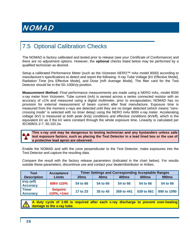## <span id="page-29-0"></span>7.5 Optional Calibration Checks

The NOMAD is factory calibrated and tested prior to release (see your *Certificate of Conformance*) and there are no adjustment options. However, the **optional** checks listed below may be performed by a qualified technician as desired.

Setup a calibrated Performance Meter (such as the Victoreen NERO™ mAx model 8000) according to manufacture's specifications to detect and report the following: X-ray Tube Voltage [kV Effective Mode], Radiation Time [ms Effective Mode], and Dose [mR Average Mode]. The filter card for the Test Detector should be in the 50–100kVp position.

**Measurement Method:** Final performance measurements are made using a NERO mAx, model 8000 x-ray meter from Victoreen. Tube current (mA) is sensed across a series connected resistor with an accuracy of  $±1\%$  and measured using a digital multimeter, prior to encapsulation; NOMAD has no provision for external measurement of beam current after final manufacture. Exposure time is measured from the moment x-rays are detected until they are no longer detected (which means "zerocrossing mode" is selected with no timer delay) using the NERO mAx 8000 x-ray meter. Accelerating voltage (kV) is measured at both peak (kVp) conditions and effective conditions (kVeff), which is the equivalent kV as if the kV were constant through the whole exposure time. Linearity is calculated per IEC60601-2-7, 50.102.2a.

#### **This x-ray unit may be dangerous to testing technician and any bystanders unless safe test exposure factors, such as placing the Test Detector in a lead lined box or the use of a protective lead apron are observed.**

Enable the NOMAD and with the cone perpendicular to the Test Detector, make exposures into the Test Detector and capture the resulting data.

Compare the result with the factory release parameters (indicated in the chart below). For results outside these parameters, discontinue use and contact your dealer/distributor or Aribex.

| Test                            | <b>Acceptance</b>                   | <b>Timer Settings and Corresponding Acceptable Ranges</b> |                  |              |              |              |
|---------------------------------|-------------------------------------|-----------------------------------------------------------|------------------|--------------|--------------|--------------|
| <b>Description</b>              | <b>Limits</b>                       | 20ms                                                      | 40 <sub>ms</sub> | <b>400ms</b> | <b>600ms</b> | <b>990ms</b> |
| kVp (eff)<br><b>Accuracy</b>    | 60kV $±10\%$                        | 54 to 66                                                  | 54 to 66         | 54 to 66     | 54 to 66     | 54 to 66     |
| <b>Timer</b><br><b>Accuracy</b> | <b>Setpoint</b><br>$±10\%$ , $+1ms$ | 17 to 23                                                  | 35 to 45         | 359 to 441   | 539 to 661   | 890 to 1090  |

**A duty cycle of 1:60 is required after each x-ray discharge to prevent over-heating damage to the x-ray tube.**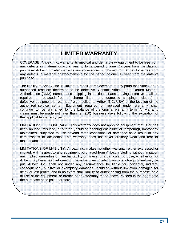#### **LIMITED WARRANTY**

<span id="page-30-0"></span>COVERAGE. Aribex, Inc. warrants its medical and dental x-ray equipment to be free from any defects in material or workmanship for a period of one (1) year from the date of purchase. Aribex, Inc. also warrants any accessories purchased from Aribex to be free from any defects in material or workmanship for the period of one (1) year from the date of purchase.

The liability of Aribex, Inc. is limited to repair or replacement of any parts that Aribex or its authorized resellers determine to be defective. Contact Aribex for a Return Material Authorization (RMA) number and shipping instructions. Parts proving defective shall be repaired or replaced free of charge (labor and domestic shipping included), if defective equipment is returned freight collect to Aribex (NC, USA) or the location of the authorized service center. Equipment repaired or replaced under warranty shall continue to be warranted for the balance of the original warranty term. All warranty claims must be made not later than ten (10) business days following the expiration of the applicable warranty period.

LIMITATIONS OF COVERAGE. This warranty does not apply to equipment that is or has been abused, misused, or altered (including opening enclosure or tampering), improperly maintained, subjected to use beyond rated conditions, or damaged as a result of any carelessness or accidents. This warranty does not cover ordinary wear and tear or maintenance.

LIMITATIONS OF LIABILITY. Aribex, Inc. makes no other warranty, either expressed or implied, with respect to any equipment purchased from Aribex, including without limitation any implied warranties of merchantability or fitness for a particular purpose, whether or not Aribex may have been informed of the actual uses to which any of such equipment may be put. Aribex, Inc. shall not under any circumstance be liable for incidental, indirect, consequential, punitive or exemplary damages, including without limitation damages for delay or lost profits, and in no event shall liability of Aribex arising from the purchase, sale or use of the equipment, or breach of any warranty made above, exceed in the aggregate the purchase price paid therefore.